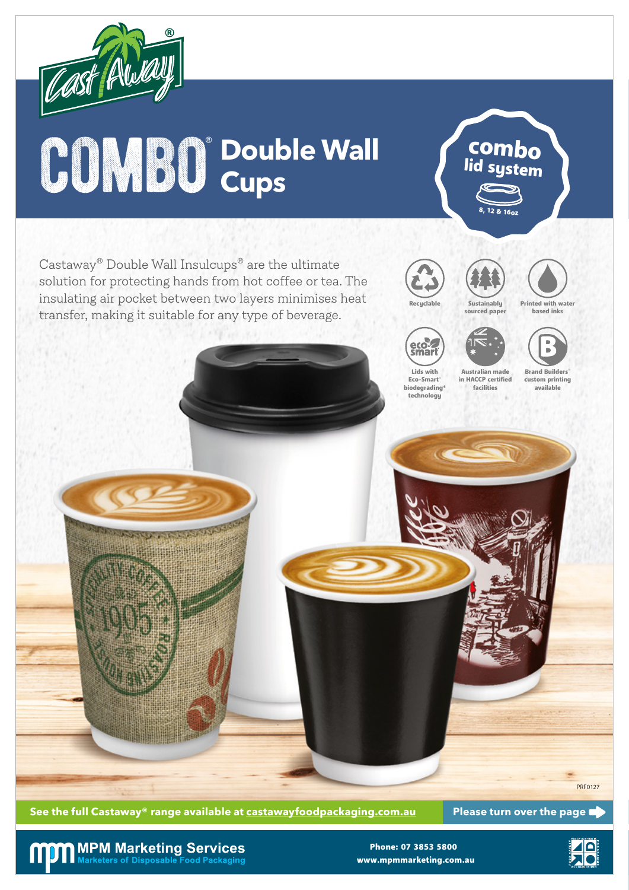

# $\bigcirc$  **Double Wall**

Castaway® Double Wall Insulcups® are the ultimate solution for protecting hands from hot coffee or tea. The insulating air pocket between two layers minimises heat transfer, making it suitable for any type of beverage.





8, 12 & 16oz

combo lid system



Printed with water based inks





sourced paper





Australian made



**See the full Castaway® range available at castawayfoodpackaging.com.au Please turn over the page**

### **MPM Marketing Services**<br>Marketers of Disposable Food Packaging

www.mpmmarketing.com.au Phone: 07 3853 5800